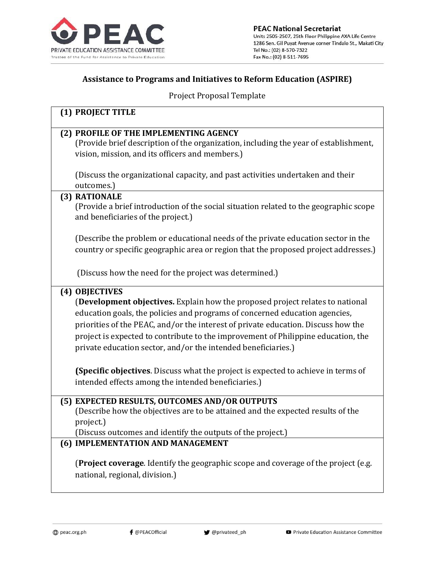

## **Assistance to Programs and Initiatives to Reform Education (ASPIRE)**

Project Proposal Template

| (1) PROJECT TITLE                                                                         |
|-------------------------------------------------------------------------------------------|
| (2) PROFILE OF THE IMPLEMENTING AGENCY                                                    |
| (Provide brief description of the organization, including the year of establishment,      |
| vision, mission, and its officers and members.)                                           |
|                                                                                           |
| (Discuss the organizational capacity, and past activities undertaken and their            |
| outcomes.)                                                                                |
| (3) RATIONALE                                                                             |
| (Provide a brief introduction of the social situation related to the geographic scope     |
| and beneficiaries of the project.)                                                        |
|                                                                                           |
| (Describe the problem or educational needs of the private education sector in the         |
| country or specific geographic area or region that the proposed project addresses.)       |
|                                                                                           |
| (Discuss how the need for the project was determined.)                                    |
| (4) OBJECTIVES                                                                            |
| <b>(Development objectives.</b> Explain how the proposed project relates to national      |
| education goals, the policies and programs of concerned education agencies,               |
| priorities of the PEAC, and/or the interest of private education. Discuss how the         |
| project is expected to contribute to the improvement of Philippine education, the         |
| private education sector, and/or the intended beneficiaries.)                             |
|                                                                                           |
| <b>(Specific objectives.</b> Discuss what the project is expected to achieve in terms of  |
| intended effects among the intended beneficiaries.)                                       |
|                                                                                           |
| (5) EXPECTED RESULTS, OUTCOMES AND/OR OUTPUTS                                             |
| (Describe how the objectives are to be attained and the expected results of the           |
| project.)                                                                                 |
| (Discuss outcomes and identify the outputs of the project.)                               |
| (6) IMPLEMENTATION AND MANAGEMENT                                                         |
|                                                                                           |
| <b>(Project coverage.</b> Identify the geographic scope and coverage of the project (e.g. |
| national, regional, division.)                                                            |
|                                                                                           |